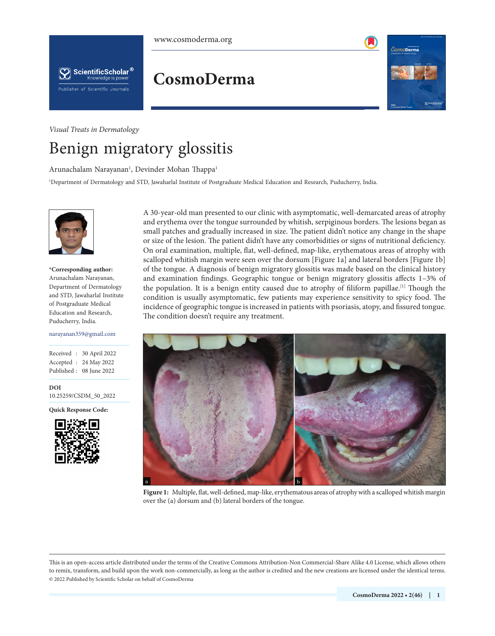





**CosmoDerma**

<span id="page-0-2"></span>

*Visual Treats in Dermatology*

# Benign migratory glossitis

Arunachalam Narayanan<sup>ı</sup>, Devinder Mohan Thappa<sup>ı</sup>

1 Department of Dermatology and STD, Jawaharlal Institute of Postgraduate Medical Education and Research, Puducherry, India.



**\*Corresponding author:** Arunachalam Narayanan, Department of Dermatology and STD, Jawaharlal Institute of Postgraduate Medical Education and Research, Puducherry, India.

#### narayanan359@gmail.com

Received : 30 April 2022 Accepted : 24 May 2022 Published : 08 June 2022

**DOI** 10.25259/CSDM\_50\_2022

**Quick Response Code:**

<span id="page-0-0"></span>

<span id="page-0-1"></span>A 30-year-old man presented to our clinic with asymptomatic, well-demarcated areas of atrophy and erythema over the tongue surrounded by whitish, serpiginous borders. The lesions began as small patches and gradually increased in size. The patient didn't notice any change in the shape or size of the lesion. The patient didn't have any comorbidities or signs of nutritional deficiency. On oral examination, multiple, flat, well-defined, map-like, erythematous areas of atrophy with scalloped whitish margin were seen over the dorsum [[Figure 1a](#page-0-0)] and lateral borders [[Figure 1b](#page-0-0)] of the tongue. A diagnosis of benign migratory glossitis was made based on the clinical history and examination findings. Geographic tongue or benign migratory glossitis affects 1–3% of the population. It is a benign entity caused due to atrophy of filiform papillae.<sup>[[1\]](#page-1-0)</sup> Though the condition is usually asymptomatic, few patients may experience sensitivity to spicy food. The incidence of geographic tongue is increased in patients with psoriasis, atopy, and fissured tongue. The condition doesn't require any treatment.



**[Figure 1:](#page-0-1)** Multiple, flat, well-defined, map-like, erythematous areas of atrophy with a scalloped whitish margin over the (a) dorsum and (b) lateral borders of the tongue.

This is an open-access article distributed under the terms of the Creative Commons Attribution-Non Commercial-Share Alike 4.0 License, which allows others to remix, transform, and build upon the work non-commercially, as long as the author is credited and the new creations are licensed under the identical terms. © 2022 Published by Scientific Scholar on behalf of CosmoDerma